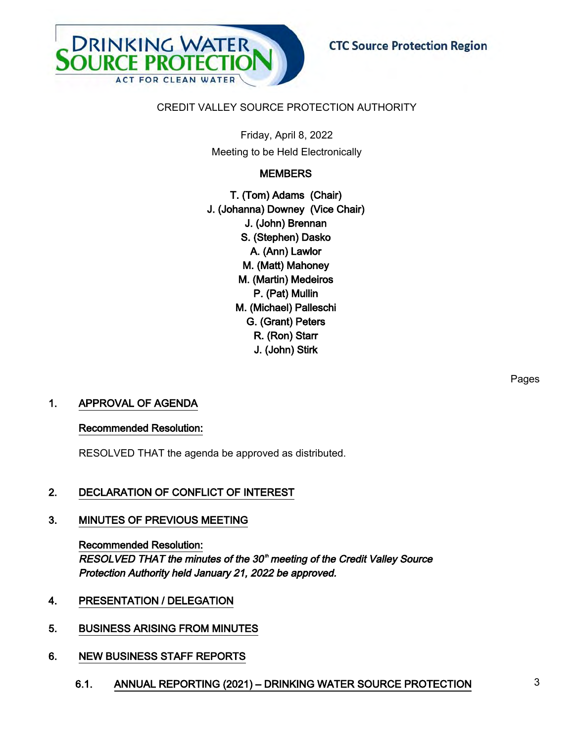

## CREDIT VALLEY SOURCE PROTECTION AUTHORITY

Friday, April 8, 2022 Meeting to be Held Electronically

## **MEMBERS**

T. (Tom) Adams (Chair) J. (Johanna) Downey (Vice Chair) J. (John) Brennan S. (Stephen) Dasko A. (Ann) Lawlor M. (Matt) Mahoney M. (Martin) Medeiros P. (Pat) Mullin M. (Michael) Palleschi G. (Grant) Peters R. (Ron) Starr J. (John) Stirk

## 1. APPROVAL OF AGENDA

### Recommended Resolution:

RESOLVED THAT the agenda be approved as distributed.

## 2. DECLARATION OF CONFLICT OF INTEREST

### 3. MINUTES OF PREVIOUS MEETING

Recommended Resolution: RESOLVED THAT the minutes of the 30<sup>th</sup> meeting of the Credit Valley Source Protection Authority held January 21, 2022 be approved.

## 4. PRESENTATION / DELEGATION

## 5. BUSINESS ARISING FROM MINUTES

### 6. NEW BUSINESS STAFF REPORTS

6.1. ANNUAL REPORTING (2021) – DRINKING WATER SOURCE PROTECTION 3

Pages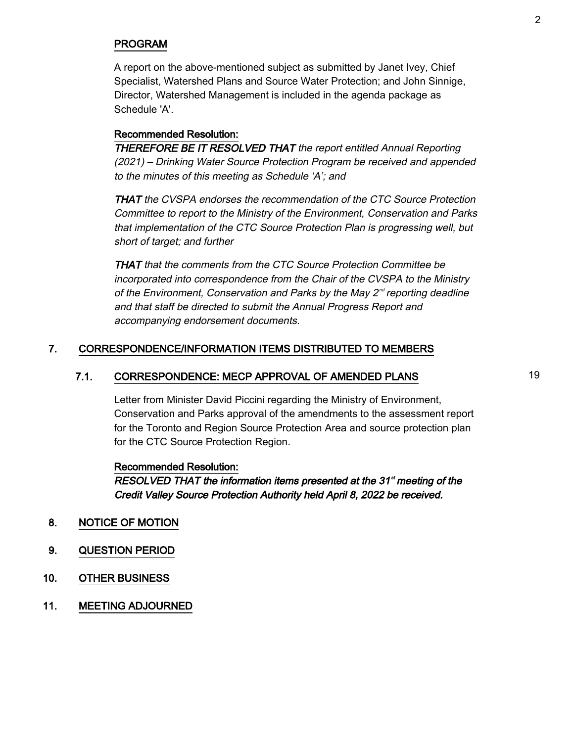## PROGRAM

A report on the above-mentioned subject as submitted by Janet Ivey, Chief Specialist, Watershed Plans and Source Water Protection; and John Sinnige, Director, Watershed Management is included in the agenda package as Schedule 'A'.

### Recommended Resolution:

THEREFORE BE IT RESOLVED THAT the report entitled Annual Reporting (2021) – Drinking Water Source Protection Program be received and appended to the minutes of this meeting as Schedule 'A'; and

THAT the CVSPA endorses the recommendation of the CTC Source Protection Committee to report to the Ministry of the Environment, Conservation and Parks that implementation of the CTC Source Protection Plan is progressing well, but short of target; and further

THAT that the comments from the CTC Source Protection Committee be incorporated into correspondence from the Chair of the CVSPA to the Ministry of the Environment, Conservation and Parks by the May  $2^{nd}$  reporting deadline and that staff be directed to submit the Annual Progress Report and accompanying endorsement documents.

## 7. CORRESPONDENCE/INFORMATION ITEMS DISTRIBUTED TO MEMBERS

## 7.1. CORRESPONDENCE: MECP APPROVAL OF AMENDED PLANS 19

Letter from Minister David Piccini regarding the Ministry of Environment, Conservation and Parks approval of the amendments to the assessment report for the Toronto and Region Source Protection Area and source protection plan for the CTC Source Protection Region.

#### Recommended Resolution:

RESOLVED THAT the information items presented at the 31<sup>st</sup> meeting of the Credit Valley Source Protection Authority held April 8, 2022 be received.

- 8. NOTICE OF MOTION
- 9. QUESTION PERIOD
- 10. OTHER BUSINESS
- 11. MEETING ADJOURNED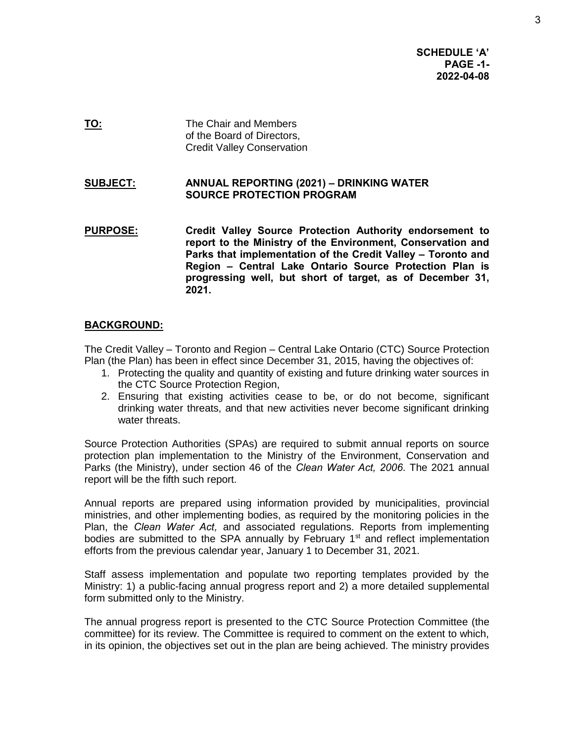**SCHEDULE 'A' PAGE -1- 2022-04-08** 

**TO:** The Chair and Members of the Board of Directors, Credit Valley Conservation

### **SUBJECT: ANNUAL REPORTING (2021) – DRINKING WATER SOURCE PROTECTION PROGRAM**

**PURPOSE: Credit Valley Source Protection Authority endorsement to report to the Ministry of the Environment, Conservation and Parks that implementation of the Credit Valley – Toronto and Region – Central Lake Ontario Source Protection Plan is progressing well, but short of target, as of December 31, 2021.** 

### **BACKGROUND:**

The Credit Valley – Toronto and Region – Central Lake Ontario (CTC) Source Protection Plan (the Plan) has been in effect since December 31, 2015, having the objectives of:

- 1. Protecting the quality and quantity of existing and future drinking water sources in the CTC Source Protection Region,
- 2. Ensuring that existing activities cease to be, or do not become, significant drinking water threats, and that new activities never become significant drinking water threats.

Source Protection Authorities (SPAs) are required to submit annual reports on source protection plan implementation to the Ministry of the Environment, Conservation and Parks (the Ministry), under section 46 of the *Clean Water Act, 2006*. The 2021 annual report will be the fifth such report.

Annual reports are prepared using information provided by municipalities, provincial ministries, and other implementing bodies, as required by the monitoring policies in the Plan, the *Clean Water Act,* and associated regulations. Reports from implementing bodies are submitted to the SPA annually by February  $1<sup>st</sup>$  and reflect implementation efforts from the previous calendar year, January 1 to December 31, 2021.

Staff assess implementation and populate two reporting templates provided by the Ministry: 1) a public-facing annual progress report and 2) a more detailed supplemental form submitted only to the Ministry.

The annual progress report is presented to the CTC Source Protection Committee (the committee) for its review. The Committee is required to comment on the extent to which, in its opinion, the objectives set out in the plan are being achieved. The ministry provides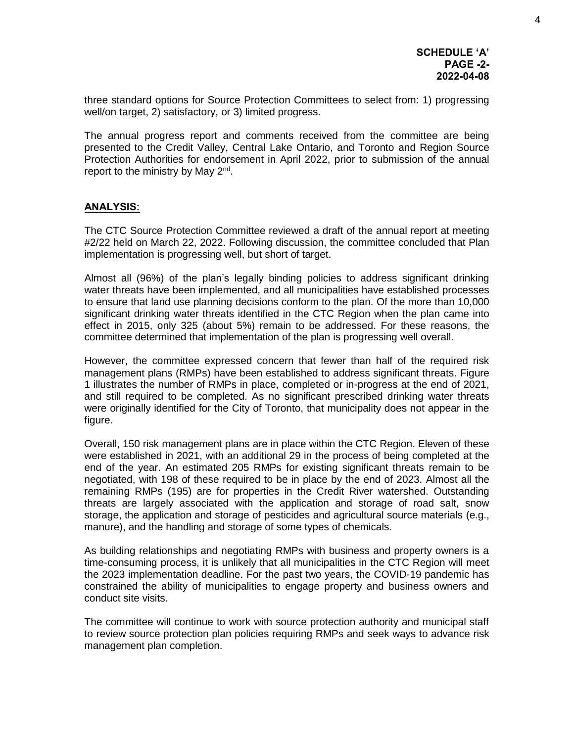three standard options for Source Protection Committees to select from: 1) progressing well/on target, 2) satisfactory, or 3) limited progress.

The annual progress report and comments received from the committee are being presented to the Credit Valley, Central Lake Ontario, and Toronto and Region Source Protection Authorities for endorsement in April 2022, prior to submission of the annual report to the ministry by May 2<sup>nd</sup>.

## **ANALYSIS:**

The CTC Source Protection Committee reviewed a draft of the annual report at meeting #2/22 held on March 22, 2022. Following discussion, the committee concluded that Plan implementation is progressing well, but short of target.

Almost all (96%) of the plan's legally binding policies to address significant drinking water threats have been implemented, and all municipalities have established processes to ensure that land use planning decisions conform to the plan. Of the more than 10,000 significant drinking water threats identified in the CTC Region when the plan came into effect in 2015, only 325 (about 5%) remain to be addressed. For these reasons, the committee determined that implementation of the plan is progressing well overall.

However, the committee expressed concern that fewer than half of the required risk management plans (RMPs) have been established to address significant threats. Figure 1 illustrates the number of RMPs in place, completed or in-progress at the end of 2021, and still required to be completed. As no significant prescribed drinking water threats were originally identified for the City of Toronto, that municipality does not appear in the figure.

Overall, 150 risk management plans are in place within the CTC Region. Eleven of these were established in 2021, with an additional 29 in the process of being completed at the end of the year. An estimated 205 RMPs for existing significant threats remain to be negotiated, with 198 of these required to be in place by the end of 2023. Almost all the remaining RMPs (195) are for properties in the Credit River watershed. Outstanding threats are largely associated with the application and storage of road salt, snow storage, the application and storage of pesticides and agricultural source materials (e.g., manure), and the handling and storage of some types of chemicals.

As building relationships and negotiating RMPs with business and property owners is a time-consuming process, it is unlikely that all municipalities in the CTC Region will meet the 2023 implementation deadline. For the past two years, the COVID-19 pandemic has constrained the ability of municipalities to engage property and business owners and conduct site visits.

The committee will continue to work with source protection authority and municipal staff to review source protection plan policies requiring RMPs and seek ways to advance risk management plan completion.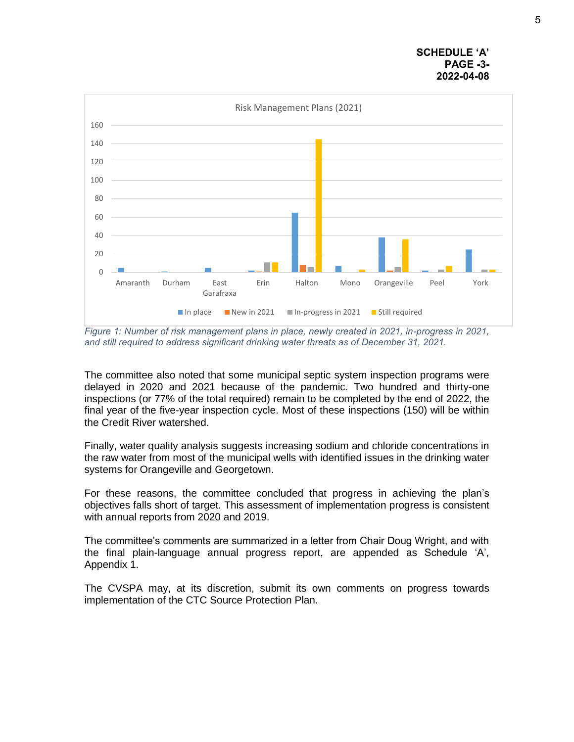



*Figure 1: Number of risk management plans in place, newly created in 2021, in-progress in 2021, and still required to address significant drinking water threats as of December 31, 2021.* 

The committee also noted that some municipal septic system inspection programs were delayed in 2020 and 2021 because of the pandemic. Two hundred and thirty-one inspections (or 77% of the total required) remain to be completed by the end of 2022, the final year of the five-year inspection cycle. Most of these inspections (150) will be within the Credit River watershed.

Finally, water quality analysis suggests increasing sodium and chloride concentrations in the raw water from most of the municipal wells with identified issues in the drinking water systems for Orangeville and Georgetown.

For these reasons, the committee concluded that progress in achieving the plan's objectives falls short of target. This assessment of implementation progress is consistent with annual reports from 2020 and 2019.

The committee's comments are summarized in a letter from Chair Doug Wright, and with the final plain-language annual progress report, are appended as Schedule 'A', Appendix 1.

The CVSPA may, at its discretion, submit its own comments on progress towards implementation of the CTC Source Protection Plan.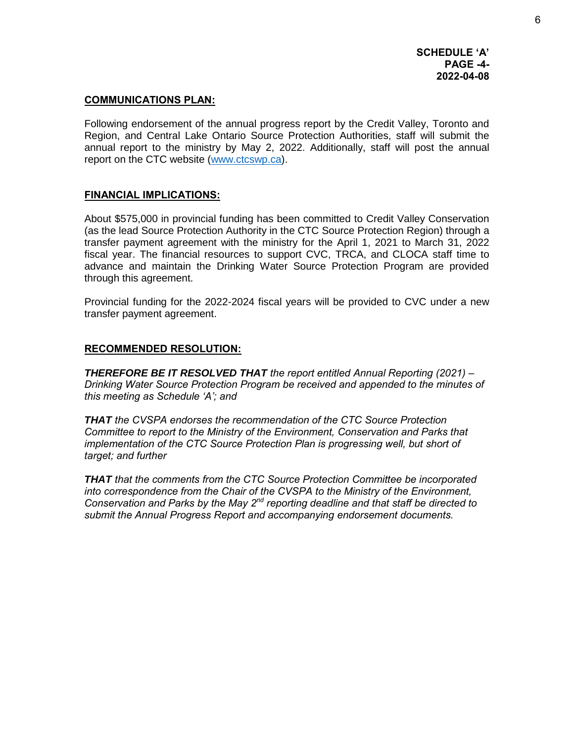## **COMMUNICATIONS PLAN:**

Following endorsement of the annual progress report by the Credit Valley, Toronto and Region, and Central Lake Ontario Source Protection Authorities, staff will submit the annual report to the ministry by May 2, 2022. Additionally, staff will post the annual report on the CTC website [\(www.ctcswp.ca\)](http://www.ctcswp.ca/).

## **FINANCIAL IMPLICATIONS:**

About \$575,000 in provincial funding has been committed to Credit Valley Conservation (as the lead Source Protection Authority in the CTC Source Protection Region) through a transfer payment agreement with the ministry for the April 1, 2021 to March 31, 2022 fiscal year. The financial resources to support CVC, TRCA, and CLOCA staff time to advance and maintain the Drinking Water Source Protection Program are provided through this agreement.

Provincial funding for the 2022-2024 fiscal years will be provided to CVC under a new transfer payment agreement.

## **RECOMMENDED RESOLUTION:**

*THEREFORE BE IT RESOLVED THAT the report entitled Annual Reporting (2021) – Drinking Water Source Protection Program be received and appended to the minutes of this meeting as Schedule 'A'; and* 

*THAT the CVSPA endorses the recommendation of the CTC Source Protection Committee to report to the Ministry of the Environment, Conservation and Parks that implementation of the CTC Source Protection Plan is progressing well, but short of target; and further* 

*THAT that the comments from the CTC Source Protection Committee be incorporated into correspondence from the Chair of the CVSPA to the Ministry of the Environment, Conservation and Parks by the May 2nd reporting deadline and that staff be directed to submit the Annual Progress Report and accompanying endorsement documents.*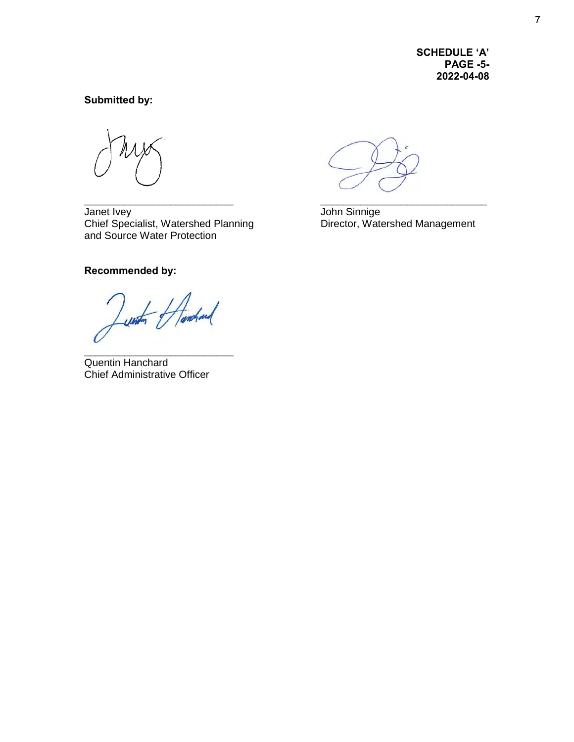**SCHEDULE 'A' PAGE -5- 2022-04-08** 

## **Submitted by:**

Janet Ivey John Sinnige Chief Specialist, Watershed Planning **Director**, Watershed Management and Source Water Protection

**Recommended by:** 

Lunten Handing

\_\_\_\_\_\_\_\_\_\_\_\_\_\_\_\_\_\_\_\_\_\_\_\_\_\_ Quentin Hanchard Chief Administrative Officer

\_\_\_\_\_\_\_\_\_\_\_\_\_\_\_\_\_\_\_\_\_\_\_\_\_\_ \_\_\_\_\_\_\_\_\_\_\_\_\_\_\_\_\_\_\_\_\_\_\_\_\_\_\_\_\_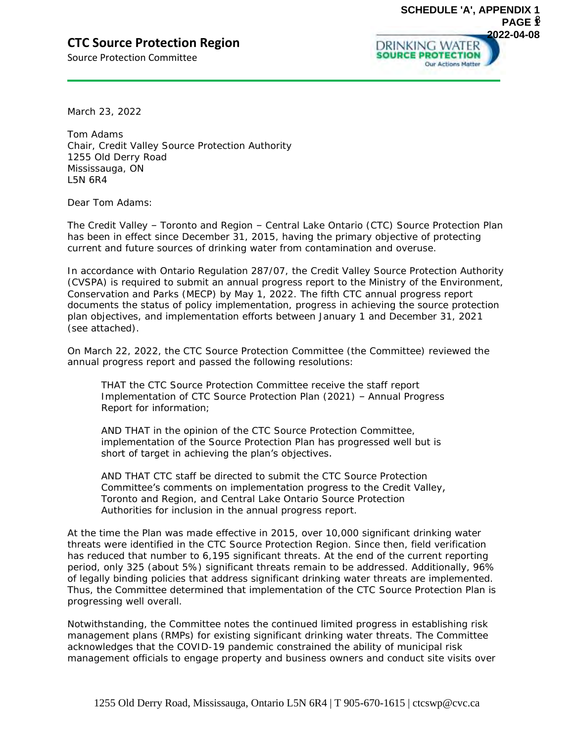# **CTC Source Protection Region**

Source Protection Committee



March 23, 2022

Tom Adams Chair, Credit Valley Source Protection Authority 1255 Old Derry Road Mississauga, ON L5N 6R4

Dear Tom Adams:

The Credit Valley – Toronto and Region – Central Lake Ontario (CTC) Source Protection Plan has been in effect since December 31, 2015, having the primary objective of protecting current and future sources of drinking water from contamination and overuse.

In accordance with Ontario Regulation 287/07, the Credit Valley Source Protection Authority (CVSPA) is required to submit an annual progress report to the Ministry of the Environment, Conservation and Parks (MECP) by May 1, 2022. The fifth CTC annual progress report documents the status of policy implementation, progress in achieving the source protection plan objectives, and implementation efforts between January 1 and December 31, 2021 (see attached).

On March 22, 2022, the CTC Source Protection Committee (the Committee) reviewed the annual progress report and passed the following resolutions:

THAT the CTC Source Protection Committee receive the staff report Implementation of CTC Source Protection Plan (2021) – Annual Progress Report for information;

AND THAT in the opinion of the CTC Source Protection Committee, implementation of the Source Protection Plan has progressed well but is short of target in achieving the plan's objectives.

AND THAT CTC staff be directed to submit the CTC Source Protection Committee's comments on implementation progress to the Credit Valley, Toronto and Region, and Central Lake Ontario Source Protection Authorities for inclusion in the annual progress report.

At the time the Plan was made effective in 2015, over 10,000 significant drinking water threats were identified in the CTC Source Protection Region. Since then, field verification has reduced that number to 6,195 significant threats. At the end of the current reporting period, only 325 (about 5%) significant threats remain to be addressed. Additionally, 96% of legally binding policies that address significant drinking water threats are implemented. Thus, the Committee determined that implementation of the CTC Source Protection Plan is progressing well overall.

Notwithstanding, the Committee notes the continued limited progress in establishing risk management plans (RMPs) for existing significant drinking water threats. The Committee acknowledges that the COVID-19 pandemic constrained the ability of municipal risk management officials to engage property and business owners and conduct site visits over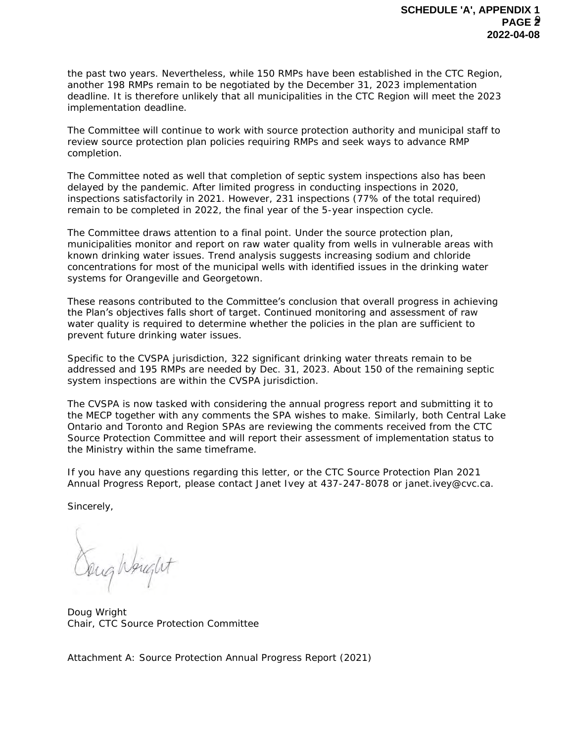the past two years. Nevertheless, while 150 RMPs have been established in the CTC Region, another 198 RMPs remain to be negotiated by the December 31, 2023 implementation deadline. It is therefore unlikely that all municipalities in the CTC Region will meet the 2023 implementation deadline.

The Committee will continue to work with source protection authority and municipal staff to review source protection plan policies requiring RMPs and seek ways to advance RMP completion.

The Committee noted as well that completion of septic system inspections also has been delayed by the pandemic. After limited progress in conducting inspections in 2020, inspections satisfactorily in 2021. However, 231 inspections (77% of the total required) remain to be completed in 2022, the final year of the 5-year inspection cycle.

The Committee draws attention to a final point. Under the source protection plan, municipalities monitor and report on raw water quality from wells in vulnerable areas with known drinking water issues. Trend analysis suggests increasing sodium and chloride concentrations for most of the municipal wells with identified issues in the drinking water systems for Orangeville and Georgetown.

These reasons contributed to the Committee's conclusion that overall progress in achieving the Plan's objectives falls short of target. Continued monitoring and assessment of raw water quality is required to determine whether the policies in the plan are sufficient to prevent future drinking water issues.

Specific to the CVSPA jurisdiction, 322 significant drinking water threats remain to be addressed and 195 RMPs are needed by Dec. 31, 2023. About 150 of the remaining septic system inspections are within the CVSPA jurisdiction.

The CVSPA is now tasked with considering the annual progress report and submitting it to the MECP together with any comments the SPA wishes to make. Similarly, both Central Lake Ontario and Toronto and Region SPAs are reviewing the comments received from the CTC Source Protection Committee and will report their assessment of implementation status to the Ministry within the same timeframe.

If you have any questions regarding this letter, or the CTC Source Protection Plan 2021 Annual Progress Report, please contact Janet Ivey at 437-247-8078 or janet.ivey@cvc.ca.

Sincerely,

Soughbrught

Doug Wright Chair, CTC Source Protection Committee

Attachment A: Source Protection Annual Progress Report (2021)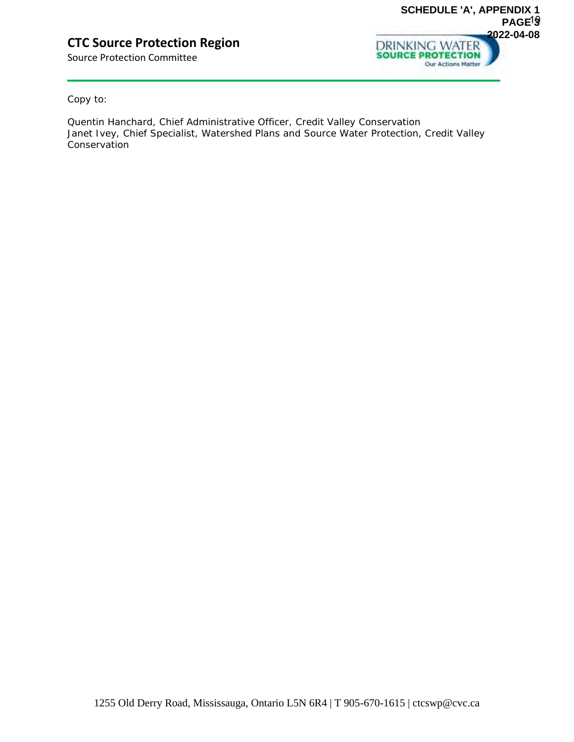# **CTC Source Protection Region**

Source Protection Committee



Copy to:

Quentin Hanchard, Chief Administrative Officer, Credit Valley Conservation Janet Ivey, Chief Specialist, Watershed Plans and Source Water Protection, Credit Valley **Conservation**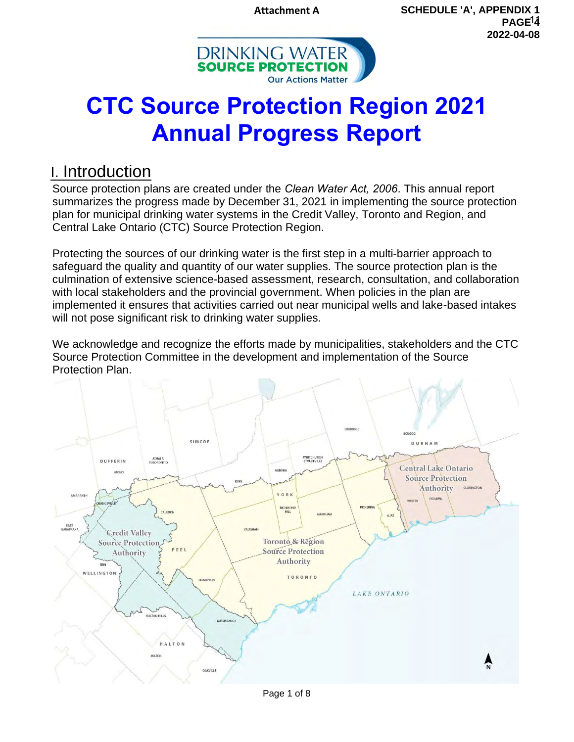**Attachment A**



# **CTC Source Protection Region 2021 Annual Progress Report**

# I. Introduction

Source protection plans are created under the *Clean Water Act, 2006*. This annual report summarizes the progress made by December 31, 2021 in implementing the source protection plan for municipal drinking water systems in the Credit Valley, Toronto and Region, and Central Lake Ontario (CTC) Source Protection Region.

Protecting the sources of our drinking water is the first step in a multi-barrier approach to safeguard the quality and quantity of our water supplies. The source protection plan is the culmination of extensive science-based assessment, research, consultation, and collaboration with local stakeholders and the provincial government. When policies in the plan are implemented it ensures that activities carried out near municipal wells and lake-based intakes will not pose significant risk to drinking water supplies.

We acknowledge and recognize the efforts made by municipalities, stakeholders and the CTC Source Protection Committee in the development and implementation of the Source Protection Plan.



Page 1 of 8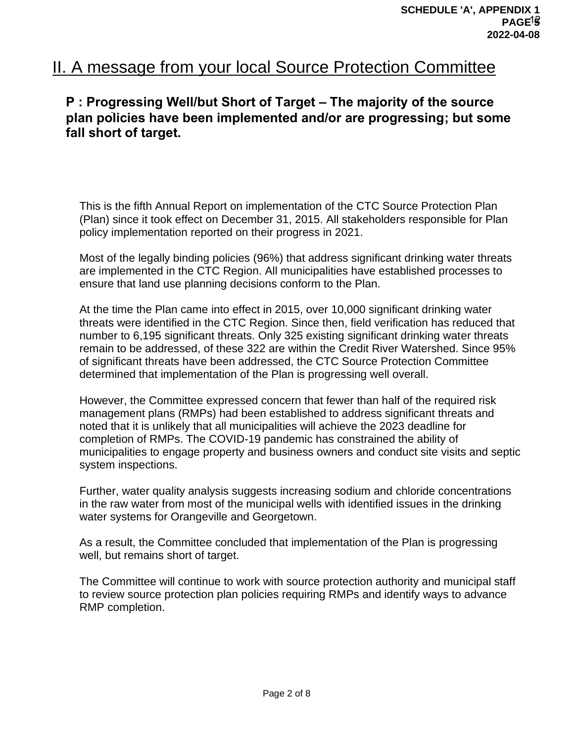# II. A message from your local Source Protection Committee

# **P : Progressing Well/but Short of Target – The majority of the source**  plan policies have been implemented and/or are progressing; but some **fall short of target.**

This is the fifth Annual Report on implementation of the CTC Source Protection Plan (Plan) since it took effect on December 31, 2015. All stakeholders responsible for Plan policy implementation reported on their progress in 2021.

Most of the legally binding policies (96%) that address significant drinking water threats are implemented in the CTC Region. All municipalities have established processes to ensure that land use planning decisions conform to the Plan.

At the time the Plan came into effect in 2015, over 10,000 significant drinking water threats were identified in the CTC Region. Since then, field verification has reduced that number to 6,195 significant threats. Only 325 existing significant drinking water threats remain to be addressed, of these 322 are within the Credit River Watershed. Since 95% of significant threats have been addressed, the CTC Source Protection Committee determined that implementation of the Plan is progressing well overall.

However, the Committee expressed concern that fewer than half of the required risk management plans (RMPs) had been established to address significant threats and noted that it is unlikely that all municipalities will achieve the 2023 deadline for completion of RMPs. The COVID-19 pandemic has constrained the ability of municipalities to engage property and business owners and conduct site visits and septic system inspections.

Further, water quality analysis suggests increasing sodium and chloride concentrations in the raw water from most of the municipal wells with identified issues in the drinking water systems for Orangeville and Georgetown.

As a result, the Committee concluded that implementation of the Plan is progressing well, but remains short of target.

The Committee will continue to work with source protection authority and municipal staff to review source protection plan policies requiring RMPs and identify ways to advance RMP completion.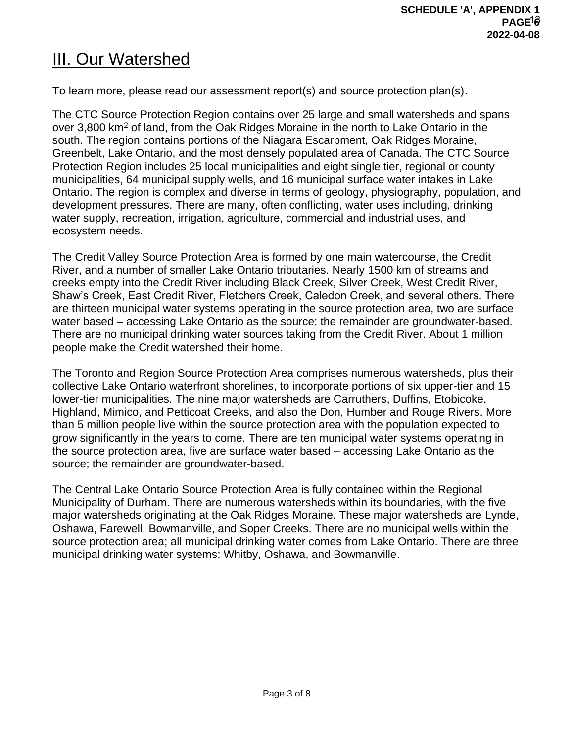# **III. Our Watershed**

To learn more, please read our assessment report(s) and source protection plan(s).

The CTC Source Protection Region contains over 25 large and small watersheds and spans over 3,800 km<sup>2</sup> of land, from the Oak Ridges Moraine in the north to Lake Ontario in the south. The region contains portions of the Niagara Escarpment, Oak Ridges Moraine, Greenbelt, Lake Ontario, and the most densely populated area of Canada. The CTC Source Protection Region includes 25 local municipalities and eight single tier, regional or county municipalities, 64 municipal supply wells, and 16 municipal surface water intakes in Lake Ontario. The region is complex and diverse in terms of geology, physiography, population, and development pressures. There are many, often conflicting, water uses including, drinking water supply, recreation, irrigation, agriculture, commercial and industrial uses, and ecosystem needs.

The Credit Valley Source Protection Area is formed by one main watercourse, the Credit River, and a number of smaller Lake Ontario tributaries. Nearly 1500 km of streams and creeks empty into the Credit River including Black Creek, Silver Creek, West Credit River, Shaw's Creek, East Credit River, Fletchers Creek, Caledon Creek, and several others. There are thirteen municipal water systems operating in the source protection area, two are surface water based – accessing Lake Ontario as the source; the remainder are groundwater-based. There are no municipal drinking water sources taking from the Credit River. About 1 million people make the Credit watershed their home.

The Toronto and Region Source Protection Area comprises numerous watersheds, plus their collective Lake Ontario waterfront shorelines, to incorporate portions of six upper-tier and 15 lower-tier municipalities. The nine major watersheds are Carruthers, Duffins, Etobicoke, Highland, Mimico, and Petticoat Creeks, and also the Don, Humber and Rouge Rivers. More than 5 million people live within the source protection area with the population expected to grow significantly in the years to come. There are ten municipal water systems operating in the source protection area, five are surface water based – accessing Lake Ontario as the source; the remainder are groundwater-based.

The Central Lake Ontario Source Protection Area is fully contained within the Regional Municipality of Durham. There are numerous watersheds within its boundaries, with the five major watersheds originating at the Oak Ridges Moraine. These major watersheds are Lynde, Oshawa, Farewell, Bowmanville, and Soper Creeks. There are no municipal wells within the source protection area; all municipal drinking water comes from Lake Ontario. There are three municipal drinking water systems: Whitby, Oshawa, and Bowmanville.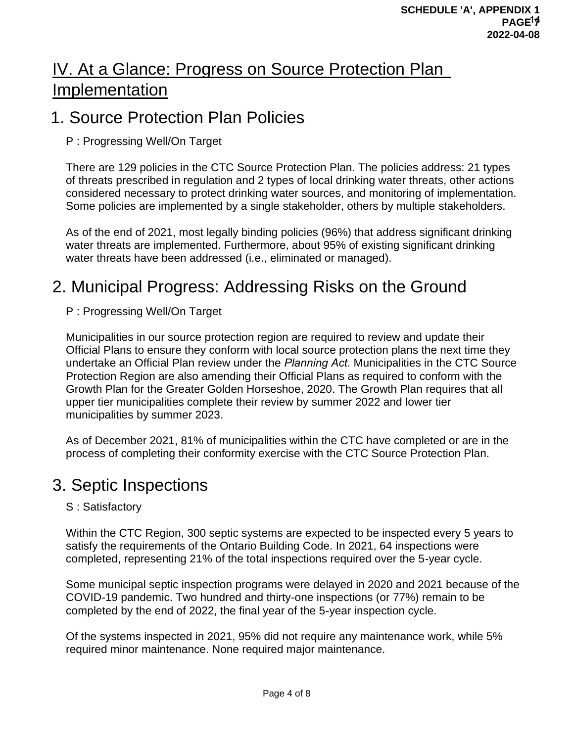# IV. At a Glance: Progress on Source Protection Plan Implementation

# 1. Source Protection Plan Policies

# P : Progressing Well/On Target

There are 129 policies in the CTC Source Protection Plan. The policies address: 21 types of threats prescribed in regulation and 2 types of local drinking water threats, other actions considered necessary to protect drinking water sources, and monitoring of implementation. Some policies are implemented by a single stakeholder, others by multiple stakeholders.

As of the end of 2021, most legally binding policies (96%) that address significant drinking water threats are implemented. Furthermore, about 95% of existing significant drinking water threats have been addressed (i.e., eliminated or managed).

# 2. Municipal Progress: Addressing Risks on the Ground

P : Progressing Well/On Target

Municipalities in our source protection region are required to review and update their Official Plans to ensure they conform with local source protection plans the next time they undertake an Official Plan review under the *Planning Act*. Municipalities in the CTC Source Protection Region are also amending their Official Plans as required to conform with the Growth Plan for the Greater Golden Horseshoe, 2020. The Growth Plan requires that all upper tier municipalities complete their review by summer 2022 and lower tier municipalities by summer 2023.

As of December 2021, 81% of municipalities within the CTC have completed or are in the process of completing their conformity exercise with the CTC Source Protection Plan.

# 3. Septic Inspections

# S : Satisfactory

Within the CTC Region, 300 septic systems are expected to be inspected every 5 years to satisfy the requirements of the Ontario Building Code. In 2021, 64 inspections were completed, representing 21% of the total inspections required over the 5-year cycle.

Some municipal septic inspection programs were delayed in 2020 and 2021 because of the COVID-19 pandemic. Two hundred and thirty-one inspections (or 77%) remain to be completed by the end of 2022, the final year of the 5-year inspection cycle.

Of the systems inspected in 2021, 95% did not require any maintenance work, while 5% required minor maintenance. None required major maintenance.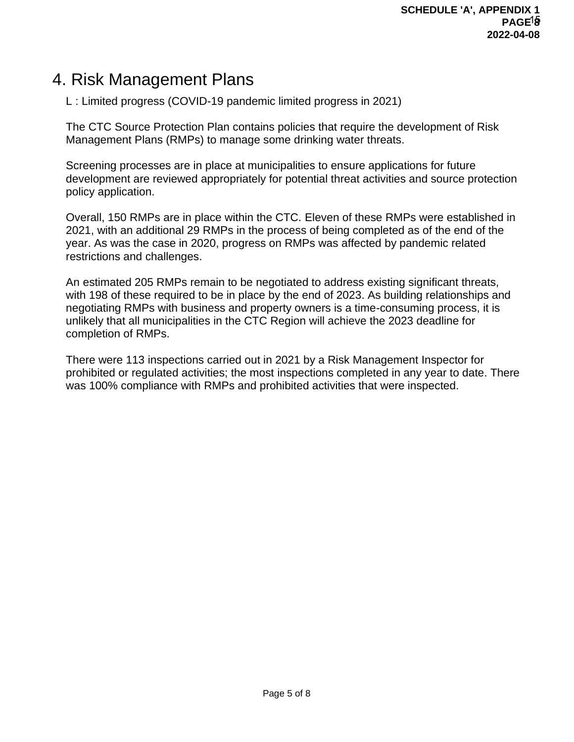# 4. Risk Management Plans

L : Limited progress (COVID-19 pandemic limited progress in 2021)

The CTC Source Protection Plan contains policies that require the development of Risk Management Plans (RMPs) to manage some drinking water threats.

Screening processes are in place at municipalities to ensure applications for future development are reviewed appropriately for potential threat activities and source protection policy application.

Overall, 150 RMPs are in place within the CTC. Eleven of these RMPs were established in 2021, with an additional 29 RMPs in the process of being completed as of the end of the year. As was the case in 2020, progress on RMPs was affected by pandemic related restrictions and challenges.

An estimated 205 RMPs remain to be negotiated to address existing significant threats, with 198 of these required to be in place by the end of 2023. As building relationships and negotiating RMPs with business and property owners is a time-consuming process, it is unlikely that all municipalities in the CTC Region will achieve the 2023 deadline for completion of RMPs.

There were 113 inspections carried out in 2021 by a Risk Management Inspector for prohibited or regulated activities; the most inspections completed in any year to date. There was 100% compliance with RMPs and prohibited activities that were inspected.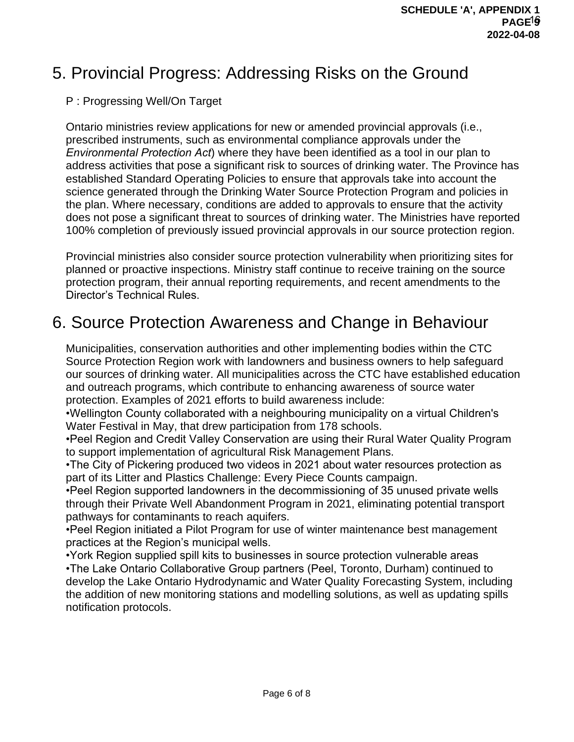# 5. Provincial Progress: Addressing Risks on the Ground

## P : Progressing Well/On Target

Ontario ministries review applications for new or amended provincial approvals (i.e., prescribed instruments, such as environmental compliance approvals under the *Environmental Protection Act*) where they have been identified as a tool in our plan to address activities that pose a significant risk to sources of drinking water. The Province has established Standard Operating Policies to ensure that approvals take into account the science generated through the Drinking Water Source Protection Program and policies in the plan. Where necessary, conditions are added to approvals to ensure that the activity does not pose a significant threat to sources of drinking water. The Ministries have reported 100% completion of previously issued provincial approvals in our source protection region.

Provincial ministries also consider source protection vulnerability when prioritizing sites for planned or proactive inspections. Ministry staff continue to receive training on the source protection program, their annual reporting requirements, and recent amendments to the Director's Technical Rules.

# 6. Source Protection Awareness and Change in Behaviour

Municipalities, conservation authorities and other implementing bodies within the CTC Source Protection Region work with landowners and business owners to help safeguard our sources of drinking water. All municipalities across the CTC have established education and outreach programs, which contribute to enhancing awareness of source water protection. Examples of 2021 efforts to build awareness include:

•Wellington County collaborated with a neighbouring municipality on a virtual Children's Water Festival in May, that drew participation from 178 schools.

•Peel Region and Credit Valley Conservation are using their Rural Water Quality Program to support implementation of agricultural Risk Management Plans.

•The City of Pickering produced two videos in 2021 about water resources protection as part of its Litter and Plastics Challenge: Every Piece Counts campaign.

•Peel Region supported landowners in the decommissioning of 35 unused private wells through their Private Well Abandonment Program in 2021, eliminating potential transport pathways for contaminants to reach aquifers.

•Peel Region initiated a Pilot Program for use of winter maintenance best management practices at the Region's municipal wells.

•York Region supplied spill kits to businesses in source protection vulnerable areas •The Lake Ontario Collaborative Group partners (Peel, Toronto, Durham) continued to develop the Lake Ontario Hydrodynamic and Water Quality Forecasting System, including the addition of new monitoring stations and modelling solutions, as well as updating spills notification protocols.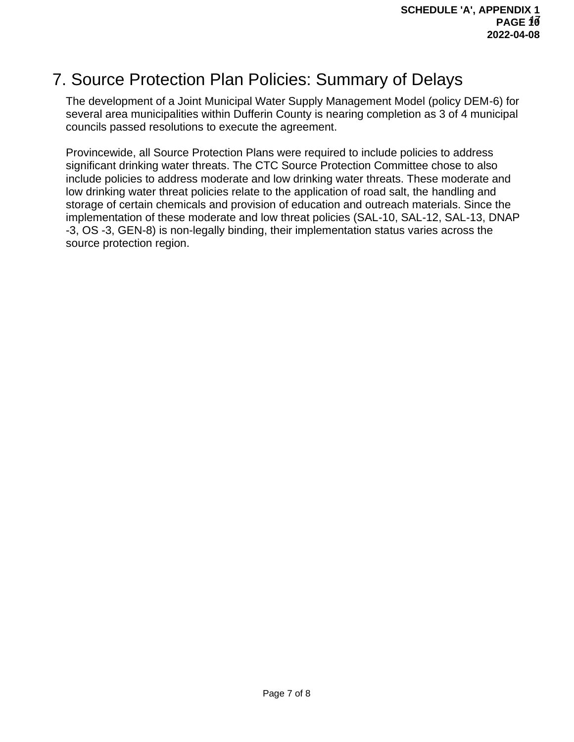# 7. Source Protection Plan Policies: Summary of Delays

The development of a Joint Municipal Water Supply Management Model (policy DEM-6) for several area municipalities within Dufferin County is nearing completion as 3 of 4 municipal councils passed resolutions to execute the agreement.

Provincewide, all Source Protection Plans were required to include policies to address significant drinking water threats. The CTC Source Protection Committee chose to also include policies to address moderate and low drinking water threats. These moderate and low drinking water threat policies relate to the application of road salt, the handling and storage of certain chemicals and provision of education and outreach materials. Since the implementation of these moderate and low threat policies (SAL-10, SAL-12, SAL-13, DNAP -3, OS -3, GEN-8) is non-legally binding, their implementation status varies across the source protection region.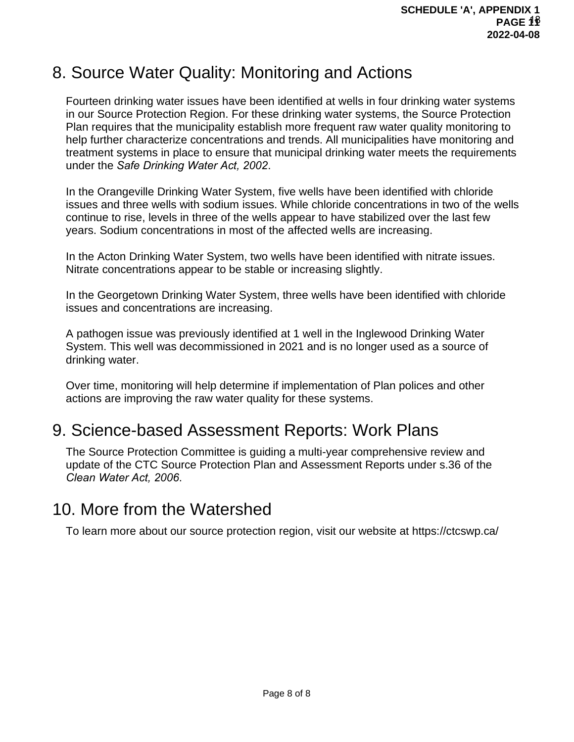# 8. Source Water Quality: Monitoring and Actions

Fourteen drinking water issues have been identified at wells in four drinking water systems in our Source Protection Region. For these drinking water systems, the Source Protection Plan requires that the municipality establish more frequent raw water quality monitoring to help further characterize concentrations and trends. All municipalities have monitoring and treatment systems in place to ensure that municipal drinking water meets the requirements under the *Safe Drinking Water Act, 2002*.

In the Orangeville Drinking Water System, five wells have been identified with chloride issues and three wells with sodium issues. While chloride concentrations in two of the wells continue to rise, levels in three of the wells appear to have stabilized over the last few years. Sodium concentrations in most of the affected wells are increasing.

In the Acton Drinking Water System, two wells have been identified with nitrate issues. Nitrate concentrations appear to be stable or increasing slightly.

In the Georgetown Drinking Water System, three wells have been identified with chloride issues and concentrations are increasing.

A pathogen issue was previously identified at 1 well in the Inglewood Drinking Water System. This well was decommissioned in 2021 and is no longer used as a source of drinking water.

Over time, monitoring will help determine if implementation of Plan polices and other actions are improving the raw water quality for these systems.

# 9. Science-based Assessment Reports: Work Plans

The Source Protection Committee is guiding a multi-year comprehensive review and update of the CTC Source Protection Plan and Assessment Reports under s.36 of the *Clean Water Act, 2006*.

# 10. More from the Watershed

To learn more about our source protection region, visit our website at https://ctcswp.ca/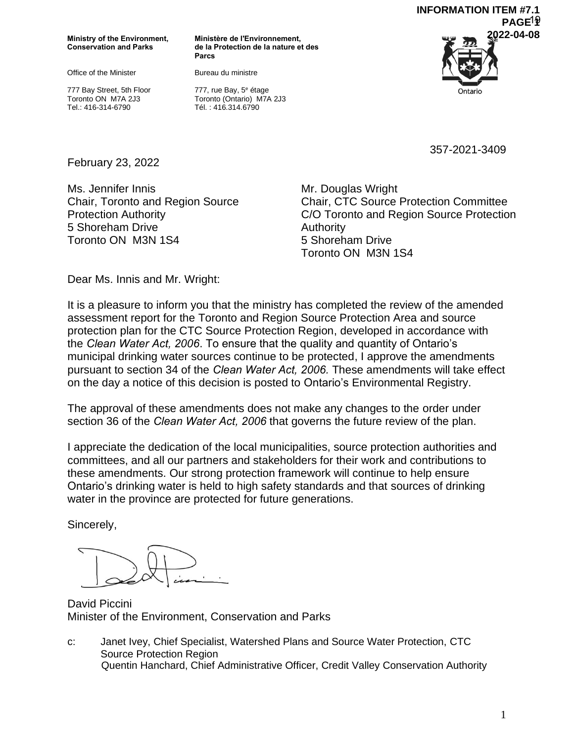**Ministry of the Environment, Conservation and Parks**

Office of the Minister

777 Bay Street, 5th Floor Toronto ON M7A 2J3 Tel.: 416-314-6790

**Ministère de l'Environnement, de la Protection de la nature et des Parcs** 

Bureau du ministre



777, rue Bay, 5<sup>e</sup> étage Toronto (Ontario) M7A 2J3 Tél. : 416.314.6790

357-2021-3409

February 23, 2022

Ms. Jennifer Innis Chair, Toronto and Region Source Protection Authority 5 Shoreham Drive Toronto ON M3N 1S4

Mr. Douglas Wright Chair, CTC Source Protection Committee C/O Toronto and Region Source Protection Authority 5 Shoreham Drive Toronto ON M3N 1S4

Dear Ms. Innis and Mr. Wright:

It is a pleasure to inform you that the ministry has completed the review of the amended assessment report for the Toronto and Region Source Protection Area and source protection plan for the CTC Source Protection Region, developed in accordance with the *Clean Water Act, 2006*. To ensure that the quality and quantity of Ontario's municipal drinking water sources continue to be protected, I approve the amendments pursuant to section 34 of the *Clean Water Act, 2006.* These amendments will take effect on the day a notice of this decision is posted to Ontario's Environmental Registry.

The approval of these amendments does not make any changes to the order under section 36 of the *Clean Water Act, 2006* that governs the future review of the plan.

I appreciate the dedication of the local municipalities, source protection authorities and committees, and all our partners and stakeholders for their work and contributions to these amendments. Our strong protection framework will continue to help ensure Ontario's drinking water is held to high safety standards and that sources of drinking water in the province are protected for future generations.

Sincerely,

David Piccini Minister of the Environment, Conservation and Parks

c: Janet Ivey, Chief Specialist, Watershed Plans and Source Water Protection, CTC Source Protection Region Quentin Hanchard, Chief Administrative Officer, Credit Valley Conservation Authority